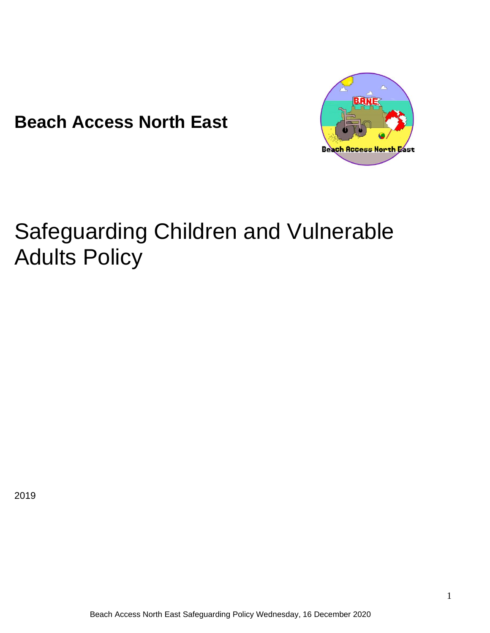**Beach Access North East**



# Safeguarding Children and Vulnerable Adults Policy

2019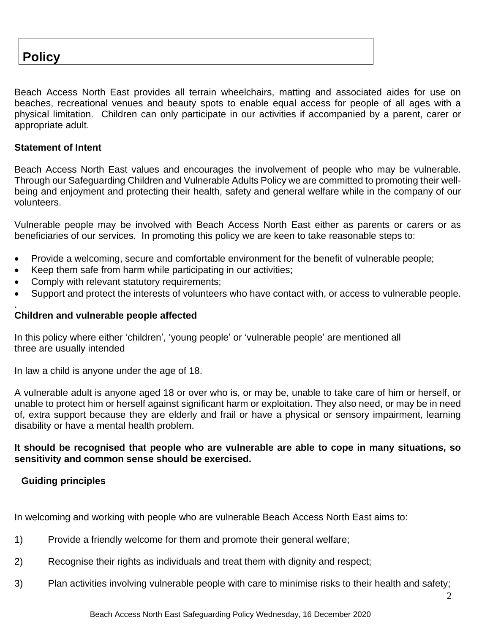# **Policy**

Beach Access North East provides all terrain wheelchairs, matting and associated aides for use on beaches, recreational venues and beauty spots to enable equal access for people of all ages with a physical limitation. Children can only participate in our activities if accompanied by a parent, carer or appropriate adult.

#### **Statement of Intent**

.

Beach Access North East values and encourages the involvement of people who may be vulnerable. Through our Safeguarding Children and Vulnerable Adults Policy we are committed to promoting their wellbeing and enjoyment and protecting their health, safety and general welfare while in the company of our volunteers.

Vulnerable people may be involved with Beach Access North East either as parents or carers or as beneficiaries of our services. In promoting this policy we are keen to take reasonable steps to:

- Provide a welcoming, secure and comfortable environment for the benefit of vulnerable people;
- Keep them safe from harm while participating in our activities;
- Comply with relevant statutory requirements;
- Support and protect the interests of volunteers who have contact with, or access to vulnerable people.

#### **Children and vulnerable people affected**

In this policy where either 'children', 'young people' or 'vulnerable people' are mentioned all three are usually intended

In law a child is anyone under the age of 18.

A vulnerable adult is anyone aged 18 or over who is, or may be, unable to take care of him or herself, or unable to protect him or herself against significant harm or exploitation. They also need, or may be in need of, extra support because they are elderly and frail or have a physical or sensory impairment, learning disability or have a mental health problem.

#### **It should be recognised that people who are vulnerable are able to cope in many situations, so sensitivity and common sense should be exercised.**

#### **Guiding principles**

In welcoming and working with people who are vulnerable Beach Access North East aims to:

- 1) Provide a friendly welcome for them and promote their general welfare;
- 2) Recognise their rights as individuals and treat them with dignity and respect;
- 3) Plan activities involving vulnerable people with care to minimise risks to their health and safety;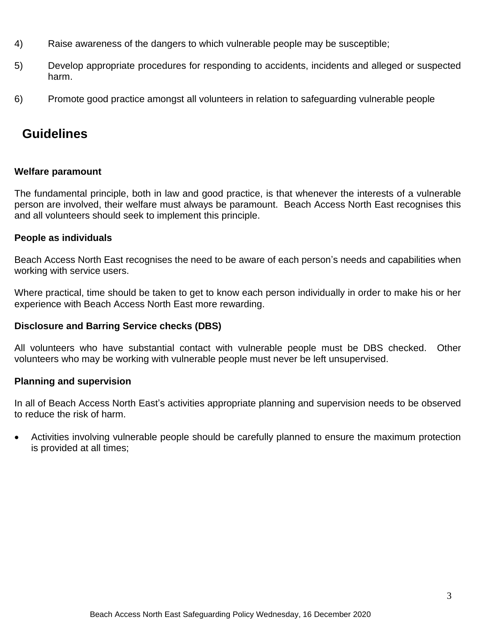- 4) Raise awareness of the dangers to which vulnerable people may be susceptible;
- 5) Develop appropriate procedures for responding to accidents, incidents and alleged or suspected harm.
- 6) Promote good practice amongst all volunteers in relation to safeguarding vulnerable people

# **Guidelines**

# **Welfare paramount**

The fundamental principle, both in law and good practice, is that whenever the interests of a vulnerable person are involved, their welfare must always be paramount. Beach Access North East recognises this and all volunteers should seek to implement this principle.

# **People as individuals**

Beach Access North East recognises the need to be aware of each person's needs and capabilities when working with service users.

Where practical, time should be taken to get to know each person individually in order to make his or her experience with Beach Access North East more rewarding.

# **Disclosure and Barring Service checks (DBS)**

All volunteers who have substantial contact with vulnerable people must be DBS checked. Other volunteers who may be working with vulnerable people must never be left unsupervised.

#### **Planning and supervision**

In all of Beach Access North East's activities appropriate planning and supervision needs to be observed to reduce the risk of harm.

• Activities involving vulnerable people should be carefully planned to ensure the maximum protection is provided at all times;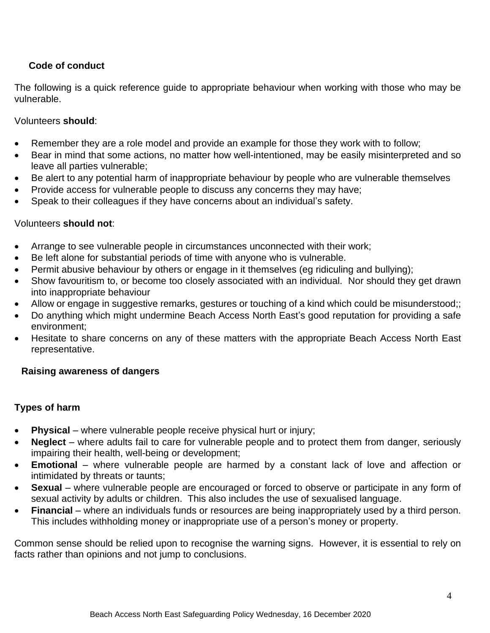# **Code of conduct**

The following is a quick reference guide to appropriate behaviour when working with those who may be vulnerable.

## Volunteers **should**:

- Remember they are a role model and provide an example for those they work with to follow;
- Bear in mind that some actions, no matter how well-intentioned, may be easily misinterpreted and so leave all parties vulnerable;
- Be alert to any potential harm of inappropriate behaviour by people who are vulnerable themselves
- Provide access for vulnerable people to discuss any concerns they may have;
- Speak to their colleagues if they have concerns about an individual's safety.

#### Volunteers **should not**:

- Arrange to see vulnerable people in circumstances unconnected with their work;
- Be left alone for substantial periods of time with anyone who is vulnerable.
- Permit abusive behaviour by others or engage in it themselves (eg ridiculing and bullying);
- Show favouritism to, or become too closely associated with an individual. Nor should they get drawn into inappropriate behaviour
- Allow or engage in suggestive remarks, gestures or touching of a kind which could be misunderstood;;
- Do anything which might undermine Beach Access North East's good reputation for providing a safe environment;
- Hesitate to share concerns on any of these matters with the appropriate Beach Access North East representative.

#### **Raising awareness of dangers**

# **Types of harm**

- **Physical** where vulnerable people receive physical hurt or injury;
- **Neglect** where adults fail to care for vulnerable people and to protect them from danger, seriously impairing their health, well-being or development;
- **Emotional** where vulnerable people are harmed by a constant lack of love and affection or intimidated by threats or taunts;
- **Sexual** where vulnerable people are encouraged or forced to observe or participate in any form of sexual activity by adults or children. This also includes the use of sexualised language.
- **Financial** where an individuals funds or resources are being inappropriately used by a third person. This includes withholding money or inappropriate use of a person's money or property.

Common sense should be relied upon to recognise the warning signs. However, it is essential to rely on facts rather than opinions and not jump to conclusions.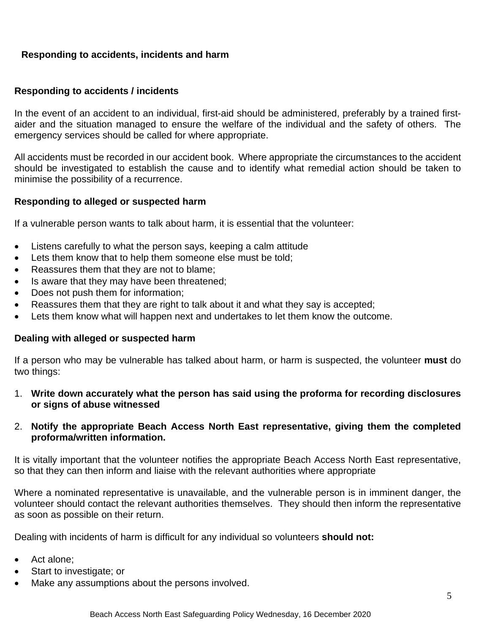# **Responding to accidents, incidents and harm**

#### **Responding to accidents / incidents**

In the event of an accident to an individual, first-aid should be administered, preferably by a trained firstaider and the situation managed to ensure the welfare of the individual and the safety of others. The emergency services should be called for where appropriate.

All accidents must be recorded in our accident book. Where appropriate the circumstances to the accident should be investigated to establish the cause and to identify what remedial action should be taken to minimise the possibility of a recurrence.

#### **Responding to alleged or suspected harm**

If a vulnerable person wants to talk about harm, it is essential that the volunteer:

- Listens carefully to what the person says, keeping a calm attitude
- Lets them know that to help them someone else must be told;
- Reassures them that they are not to blame;
- Is aware that they may have been threatened;
- Does not push them for information;
- Reassures them that they are right to talk about it and what they say is accepted;
- Lets them know what will happen next and undertakes to let them know the outcome.

#### **Dealing with alleged or suspected harm**

If a person who may be vulnerable has talked about harm, or harm is suspected, the volunteer **must** do two things:

- 1. **Write down accurately what the person has said using the proforma for recording disclosures or signs of abuse witnessed**
- 2. **Notify the appropriate Beach Access North East representative, giving them the completed proforma/written information.**

It is vitally important that the volunteer notifies the appropriate Beach Access North East representative, so that they can then inform and liaise with the relevant authorities where appropriate

Where a nominated representative is unavailable, and the vulnerable person is in imminent danger, the volunteer should contact the relevant authorities themselves. They should then inform the representative as soon as possible on their return.

Dealing with incidents of harm is difficult for any individual so volunteers **should not:**

- Act alone:
- Start to investigate; or
- Make any assumptions about the persons involved.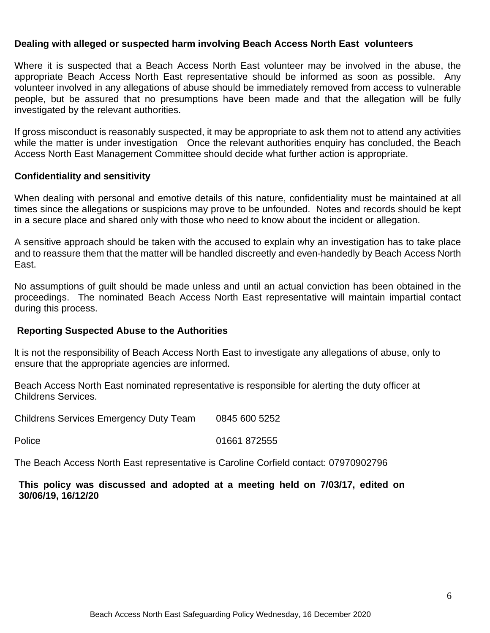#### **Dealing with alleged or suspected harm involving Beach Access North East volunteers**

Where it is suspected that a Beach Access North East volunteer may be involved in the abuse, the appropriate Beach Access North East representative should be informed as soon as possible. Any volunteer involved in any allegations of abuse should be immediately removed from access to vulnerable people, but be assured that no presumptions have been made and that the allegation will be fully investigated by the relevant authorities.

If gross misconduct is reasonably suspected, it may be appropriate to ask them not to attend any activities while the matter is under investigation Once the relevant authorities enquiry has concluded, the Beach Access North East Management Committee should decide what further action is appropriate.

#### **Confidentiality and sensitivity**

When dealing with personal and emotive details of this nature, confidentiality must be maintained at all times since the allegations or suspicions may prove to be unfounded. Notes and records should be kept in a secure place and shared only with those who need to know about the incident or allegation.

A sensitive approach should be taken with the accused to explain why an investigation has to take place and to reassure them that the matter will be handled discreetly and even-handedly by Beach Access North East.

No assumptions of guilt should be made unless and until an actual conviction has been obtained in the proceedings. The nominated Beach Access North East representative will maintain impartial contact during this process.

#### **Reporting Suspected Abuse to the Authorities**

lt is not the responsibility of Beach Access North East to investigate any allegations of abuse, only to ensure that the appropriate agencies are informed.

Beach Access North East nominated representative is responsible for alerting the duty officer at Childrens Services.

Childrens Services Emergency Duty Team 0845 600 5252

Police 01661 872555

The Beach Access North East representative is Caroline Corfield contact: 07970902796

**This policy was discussed and adopted at a meeting held on 7/03/17, edited on 30/06/19, 16/12/20**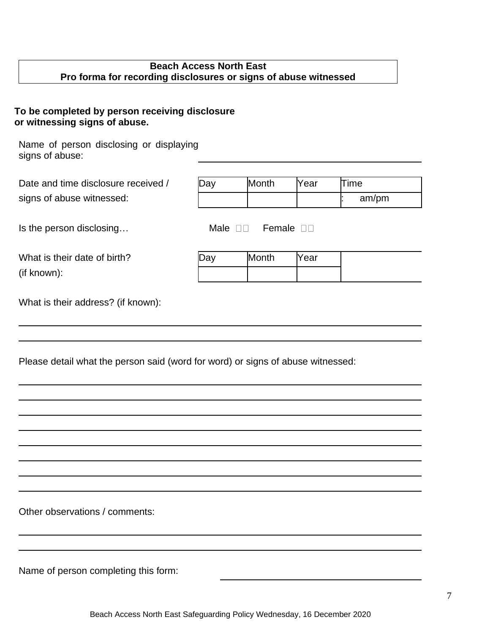# **Beach Access North East Pro forma for recording disclosures or signs of abuse witnessed**

# **To be completed by person receiving disclosure or witnessing signs of abuse.**

Name of person disclosing or displaying signs of abuse:

| Date and time disclosure received / | Jav | Month | lYear | ™e |
|-------------------------------------|-----|-------|-------|----|
| signs of abuse witnessed:           |     |       |       |    |

Is the person disclosing... Male  $\square$  Female  $\square$ 

| signs of abuse witnessed: |  |  | am/pm |
|---------------------------|--|--|-------|
|                           |  |  |       |

| What is their date of birth? |  |
|------------------------------|--|
| (if known):                  |  |

| What is their date of birth? | Ja∨ | Month | Year |
|------------------------------|-----|-------|------|
| (if known):                  |     |       |      |

What is their address? (if known):

|  | Please detail what the person said (word for word) or signs of abuse witnessed: |
|--|---------------------------------------------------------------------------------|
|--|---------------------------------------------------------------------------------|

Other observations / comments:

Name of person completing this form: